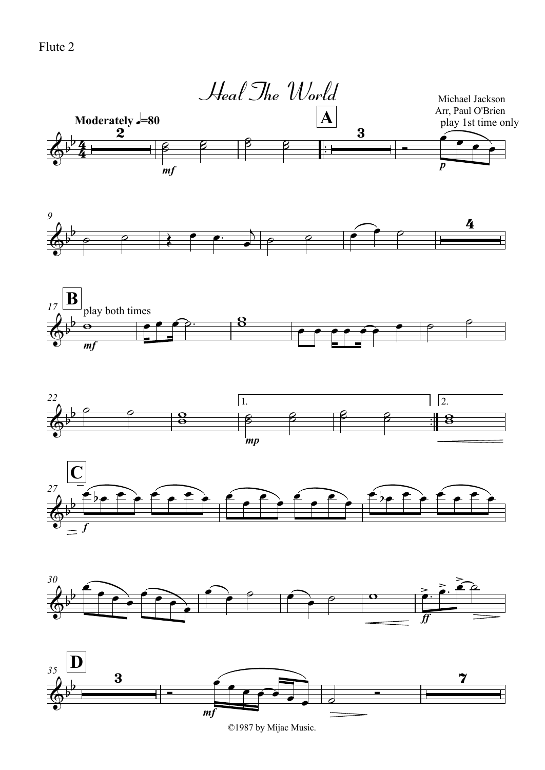Flute 2



©1987 by Mijac Music.